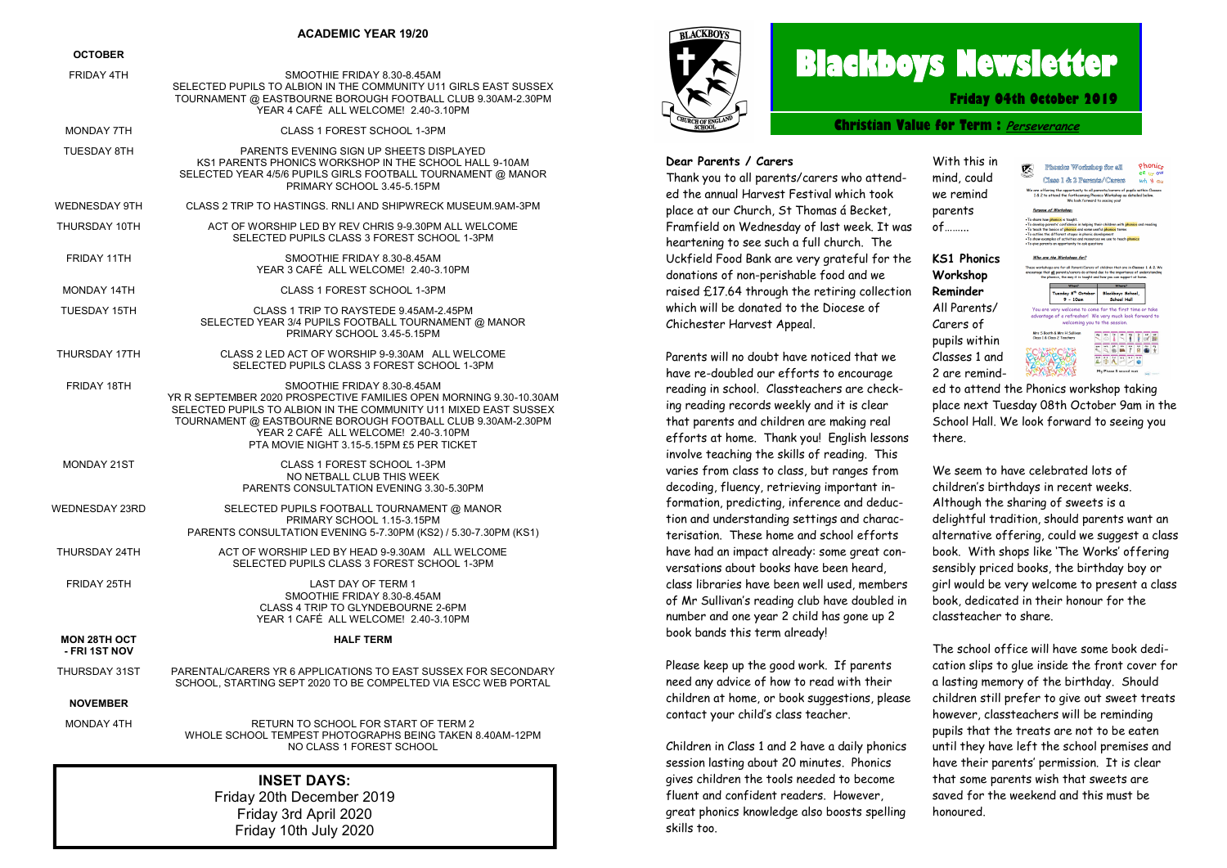#### **ACADEMIC YEAR 19/20**

#### **OCTOBER**

| <b>001028</b>                        |                                                                                                                                                                                                                                                                                                                           |
|--------------------------------------|---------------------------------------------------------------------------------------------------------------------------------------------------------------------------------------------------------------------------------------------------------------------------------------------------------------------------|
| <b>FRIDAY 4TH</b>                    | SMOOTHIE FRIDAY 8.30-8.45AM<br>SELECTED PUPILS TO ALBION IN THE COMMUNITY U11 GIRLS EAST SUSSEX<br>TOURNAMENT @ EASTBOURNE BOROUGH FOOTBALL CLUB 9.30AM-2.30PM<br>YEAR 4 CAFÉ ALL WELCOME! 2.40-3.10PM                                                                                                                    |
| MONDAY 7TH                           | CLASS 1 FOREST SCHOOL 1-3PM                                                                                                                                                                                                                                                                                               |
| <b>TUESDAY 8TH</b>                   | PARENTS EVENING SIGN UP SHEETS DISPLAYED<br>KS1 PARENTS PHONICS WORKSHOP IN THE SCHOOL HALL 9-10AM<br>SELECTED YEAR 4/5/6 PUPILS GIRLS FOOTBALL TOURNAMENT @ MANOR<br>PRIMARY SCHOOL 3.45-5.15PM                                                                                                                          |
| <b>WEDNESDAY 9TH</b>                 | CLASS 2 TRIP TO HASTINGS. RNLI AND SHIPWRECK MUSEUM.9AM-3PM                                                                                                                                                                                                                                                               |
| THURSDAY 10TH                        | ACT OF WORSHIP LED BY REV CHRIS 9-9.30PM ALL WELCOME<br>SELECTED PUPILS CLASS 3 FOREST SCHOOL 1-3PM                                                                                                                                                                                                                       |
| FRIDAY 11TH                          | SMOOTHIE FRIDAY 8.30-8.45AM<br>YEAR 3 CAFÉ ALL WELCOME! 2.40-3.10PM                                                                                                                                                                                                                                                       |
| <b>MONDAY 14TH</b>                   | CLASS 1 FOREST SCHOOL 1-3PM                                                                                                                                                                                                                                                                                               |
| <b>TUESDAY 15TH</b>                  | CLASS 1 TRIP TO RAYSTEDE 9.45AM-2.45PM<br>SELECTED YEAR 3/4 PUPILS FOOTBALL TOURNAMENT @ MANOR<br>PRIMARY SCHOOL 3.45-5.15PM                                                                                                                                                                                              |
| THURSDAY 17TH                        | CLASS 2 LED ACT OF WORSHIP 9-9.30AM ALL WELCOME<br>SELECTED PUPILS CLASS 3 FOREST SCHOOL 1-3PM                                                                                                                                                                                                                            |
| FRIDAY 18TH                          | SMOOTHIE FRIDAY 8.30-8.45AM<br>YR R SEPTEMBER 2020 PROSPECTIVE FAMILIES OPEN MORNING 9.30-10.30AM<br>SELECTED PUPILS TO ALBION IN THE COMMUNITY U11 MIXED EAST SUSSEX<br>TOURNAMENT @ EASTBOURNE BOROUGH FOOTBALL CLUB 9.30AM-2.30PM<br>YEAR 2 CAFÉ ALL WELCOME! 2.40-3.10PM<br>PTA MOVIE NIGHT 3.15-5.15PM £5 PER TICKET |
| MONDAY 21ST                          | CLASS 1 FOREST SCHOOL 1-3PM<br>NO NETBALL CLUB THIS WEEK<br>PARENTS CONSULTATION EVENING 3.30-5.30PM                                                                                                                                                                                                                      |
| WEDNESDAY 23RD                       | SELECTED PUPILS FOOTBALL TOURNAMENT @ MANOR<br>PRIMARY SCHOOL 1.15-3.15PM<br>PARENTS CONSULTATION EVENING 5-7.30PM (KS2) / 5.30-7.30PM (KS1)                                                                                                                                                                              |
| THURSDAY 24TH                        | ACT OF WORSHIP LED BY HEAD 9-9.30AM ALL WELCOME<br>SELECTED PUPILS CLASS 3 FOREST SCHOOL 1-3PM                                                                                                                                                                                                                            |
| FRIDAY 25TH                          | <b>LAST DAY OF TERM 1</b><br>SMOOTHIE FRIDAY 8.30-8.45AM<br>CLASS 4 TRIP TO GLYNDEBOURNE 2-6PM<br>YEAR 1 CAFÉ ALL WELCOME! 2.40-3.10PM                                                                                                                                                                                    |
| <b>MON 28TH OCT</b><br>- FRI 1ST NOV | <b>HALF TERM</b>                                                                                                                                                                                                                                                                                                          |
| THURSDAY 31ST                        | PARENTAL/CARERS YR 6 APPLICATIONS TO EAST SUSSEX FOR SECONDARY<br>SCHOOL, STARTING SEPT 2020 TO BE COMPELTED VIA ESCC WEB PORTAL                                                                                                                                                                                          |
| <b>NOVEMBER</b>                      |                                                                                                                                                                                                                                                                                                                           |
| <b>MONDAY 4TH</b>                    | RETURN TO SCHOOL FOR START OF TERM 2<br>WHOLE SCHOOL TEMPEST PHOTOGRAPHS BEING TAKEN 8.40AM-12PM<br>NO CLASS 1 FOREST SCHOOL                                                                                                                                                                                              |
|                                      |                                                                                                                                                                                                                                                                                                                           |

**INSET DAYS:** Friday 20th December 2019 Friday 3rd April 2020 Friday 10th July 2020



# **Blackboys Newsletter**

**Friday 04th October 2019**

**Christian Value for Term : [Perseverance](https://www.google.co.uk/search?safe=strict&q=Perseverance&spell=1&sa=X&ved=0ahUKEwjdufaq38vdAhUHIsAKHUx5DOMQkeECCCgoAA)**

With this in mind, could we remind parents of……...

**KS1 Phonics Workshop Reminder** All Parents/ Carers of pupils within Classes 1 and 2 are remind-

#### **Dear Parents / Carers**

Thank you to all parents/carers who attended the annual Harvest Festival which took place at our Church, St Thomas á Becket, Framfield on Wednesday of last week. It was heartening to see such a full church. The Uckfield Food Bank are very grateful for the donations of non-perishable food and we raised £17.64 through the retiring collection which will be donated to the Diocese of Chichester Harvest Appeal.

Parents will no doubt have noticed that we have re-doubled our efforts to encourage reading in school. Classteachers are checking reading records weekly and it is clear that parents and children are making real efforts at home. Thank you! English lessons involve teaching the skills of reading. This varies from class to class, but ranges from decoding, fluency, retrieving important information, predicting, inference and deduction and understanding settings and characterisation. These home and school efforts have had an impact already: some great conversations about books have been heard, class libraries have been well used, members of Mr Sullivan's reading club have doubled in number and one year 2 child has gone up 2 book bands this term already!

Please keep up the good work. If parents need any advice of how to read with their children at home, or book suggestions, please contact your child's class teacher.

Children in Class 1 and 2 have a daily phonics session lasting about 20 minutes. Phonics gives children the tools needed to become fluent and confident readers. However, great phonics knowledge also boosts spelling skills too.



...<br>e in helping their children with phonics and readir

Who are the Workshops for

These workshops one for all Parent/Corers of children that are in Classes 1 & 2. We<br>encourage that all parents/corers do attend due to the importance of understanding<br>the phonics, the way it is taught and how you can suppo Tuesday 8<sup>th</sup> October<br>9 - 10am Blackboys School,<br>School Holl You are very welcome to come for the first time or take<br>advantage of a refresher! We very much look forward to welcoming you to the exerion **Mrs S Booth & Mrs H Sullivan**<br>Class 1 & Closs 2 Teachers **RETETTEM EEEFFER** ▲中八二二●

ed to attend the Phonics workshop taking place next Tuesday 08th October 9am in the School Hall. We look forward to seeing you there.

We seem to have celebrated lots of children's birthdays in recent weeks. Although the sharing of sweets is a delightful tradition, should parents want an alternative offering, could we suggest a class book. With shops like 'The Works' offering sensibly priced books, the birthday boy or girl would be very welcome to present a class book, dedicated in their honour for the classteacher to share.

The school office will have some book dedication slips to glue inside the front cover for a lasting memory of the birthday. Should children still prefer to give out sweet treats however, classteachers will be reminding pupils that the treats are not to be eaten until they have left the school premises and have their parents' permission. It is clear that some parents wish that sweets are saved for the weekend and this must be honoured.